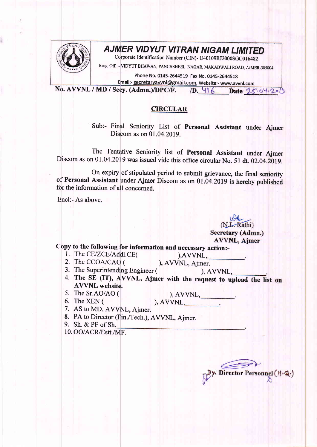

## AJNIER VIDYUT VITRAN NIGAM LIMITED

Corporate Identification Number (CIN)- U40109RJ2000SGC016482

Resg. Off. :- VIDYUT BHAWAN, PANCHSHEEL NAGAR, MAKADWALI ROAD, AJMER-305004

Phone No. 0145-2644519 Fax No. 0145-2644518

Email:- secretarvawnl@gma il.com, Website:- www.awnl.com

No. AVVNL / MD / Secy. (Admn.)/DPC/F. 1**D.** 416 Date 25.04.2019

## **CIRCULAR**

Sub:- Final Seniority List of Personal Assistant under Ajmer Discom as on  $01.04.2019$ .

The Tentative Seniority list of Personal Assistant under Ajmer Discom as on  $01.04.2019$  was issued vide this office circular No. 51 dt. 02.04.2019.

On expiry of stipulated period to submit grievance, the final seniority of Personal Assistant under Ajmer Discom as on 01.04.2019 is hereby published for the information of all concerned.

Encl:- As above.

(N.L. Rathi) **Secretary (Admn.)** 

y. Director Personnel (H.Q.)

AVVNL, Ajmer<br>Copy to the following for information and necessary action:-

- 1. The CE/ZCE/Addl.CE(
- $AVVNL$ ,
- 2. The CCOA/CAO ( 3. The Superintending Engineer ( ), AVVNL, Ajmer.
	-
- 4. The SE (IT), AVVNL, Ajmer with the AWNL website. ), AVVNL,\_\_\_\_\_\_\_\_\_. request to upload the list
- 5. The Sr.AO/AO (
- $AVVNL$ ,  $\qquad \qquad$ .

6. The XEN (

 $)$ , AVVNL,  $\qquad \qquad$ 

- 7. AS to MD, AWNL, Ajmer.
- 8. PA to Director (Fin./Tech.), AVVNL, Ajmer.
- 9. Sh. & PF of Sh.
- 10. OO/ACR/Estt./MF.